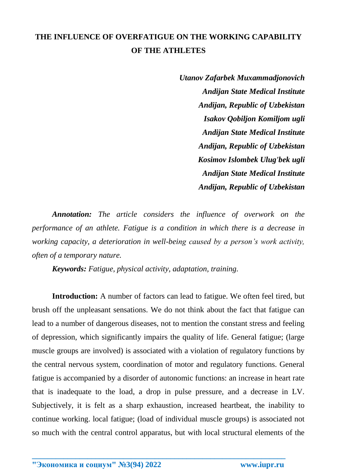## **THE INFLUENCE OF OVERFATIGUE ON THE WORKING CAPABILITY OF THE ATHLETES**

*Utanov Zafarbek Muxammadjonovich Andijan State Medical Institute Andijan, Republic of Uzbekistan Isakov Qobiljon Komiljom ugli Andijan State Medical Institute Andijan, Republic of Uzbekistan Kosimov Islombek Ulug'bek ugli Andijan State Medical Institute Andijan, Republic of Uzbekistan*

*Annotation: The article considers the influence of overwork on the performance of an athlete. Fatigue is a condition in which there is a decrease in working capacity, a deterioration in well-being caused by a person's work activity, often of a temporary nature.*

*Keywords: Fatigue, physical activity, adaptation, training.*

**Introduction:** A number of factors can lead to fatigue. We often feel tired, but brush off the unpleasant sensations. We do not think about the fact that fatigue can lead to a number of dangerous diseases, not to mention the constant stress and feeling of depression, which significantly impairs the quality of life. General fatigue; (large muscle groups are involved) is associated with a violation of regulatory functions by the central nervous system, coordination of motor and regulatory functions. General fatigue is accompanied by a disorder of autonomic functions: an increase in heart rate that is inadequate to the load, a drop in pulse pressure, and a decrease in LV. Subjectively, it is felt as a sharp exhaustion, increased heartbeat, the inability to continue working. local fatigue; (load of individual muscle groups) is associated not so much with the central control apparatus, but with local structural elements of the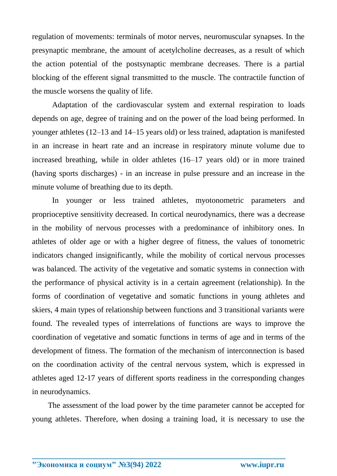regulation of movements: terminals of motor nerves, neuromuscular synapses. In the presynaptic membrane, the amount of acetylcholine decreases, as a result of which the action potential of the postsynaptic membrane decreases. There is a partial blocking of the efferent signal transmitted to the muscle. The contractile function of the muscle worsens the quality of life.

Adaptation of the cardiovascular system and external respiration to loads depends on age, degree of training and on the power of the load being performed. In younger athletes (12–13 and 14–15 years old) or less trained, adaptation is manifested in an increase in heart rate and an increase in respiratory minute volume due to increased breathing, while in older athletes (16–17 years old) or in more trained (having sports discharges) - in an increase in pulse pressure and an increase in the minute volume of breathing due to its depth.

In younger or less trained athletes, myotonometric parameters and proprioceptive sensitivity decreased. In cortical neurodynamics, there was a decrease in the mobility of nervous processes with a predominance of inhibitory ones. In athletes of older age or with a higher degree of fitness, the values of tonometric indicators changed insignificantly, while the mobility of cortical nervous processes was balanced. The activity of the vegetative and somatic systems in connection with the performance of physical activity is in a certain agreement (relationship). In the forms of coordination of vegetative and somatic functions in young athletes and skiers, 4 main types of relationship between functions and 3 transitional variants were found. The revealed types of interrelations of functions are ways to improve the coordination of vegetative and somatic functions in terms of age and in terms of the development of fitness. The formation of the mechanism of interconnection is based on the coordination activity of the central nervous system, which is expressed in athletes aged 12-17 years of different sports readiness in the corresponding changes in neurodynamics.

 The assessment of the load power by the time parameter cannot be accepted for young athletes. Therefore, when dosing a training load, it is necessary to use the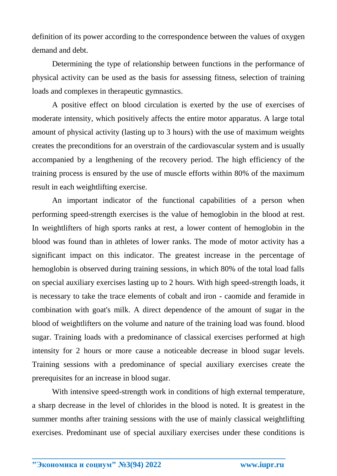definition of its power according to the correspondence between the values of oxygen demand and debt.

Determining the type of relationship between functions in the performance of physical activity can be used as the basis for assessing fitness, selection of training loads and complexes in therapeutic gymnastics.

A positive effect on blood circulation is exerted by the use of exercises of moderate intensity, which positively affects the entire motor apparatus. A large total amount of physical activity (lasting up to 3 hours) with the use of maximum weights creates the preconditions for an overstrain of the cardiovascular system and is usually accompanied by a lengthening of the recovery period. The high efficiency of the training process is ensured by the use of muscle efforts within 80% of the maximum result in each weightlifting exercise.

An important indicator of the functional capabilities of a person when performing speed-strength exercises is the value of hemoglobin in the blood at rest. In weightlifters of high sports ranks at rest, a lower content of hemoglobin in the blood was found than in athletes of lower ranks. The mode of motor activity has a significant impact on this indicator. The greatest increase in the percentage of hemoglobin is observed during training sessions, in which 80% of the total load falls on special auxiliary exercises lasting up to 2 hours. With high speed-strength loads, it is necessary to take the trace elements of cobalt and iron - caomide and feramide in combination with goat's milk. A direct dependence of the amount of sugar in the blood of weightlifters on the volume and nature of the training load was found. blood sugar. Training loads with a predominance of classical exercises performed at high intensity for 2 hours or more cause a noticeable decrease in blood sugar levels. Training sessions with a predominance of special auxiliary exercises create the prerequisites for an increase in blood sugar.

With intensive speed-strength work in conditions of high external temperature, a sharp decrease in the level of chlorides in the blood is noted. It is greatest in the summer months after training sessions with the use of mainly classical weightlifting exercises. Predominant use of special auxiliary exercises under these conditions is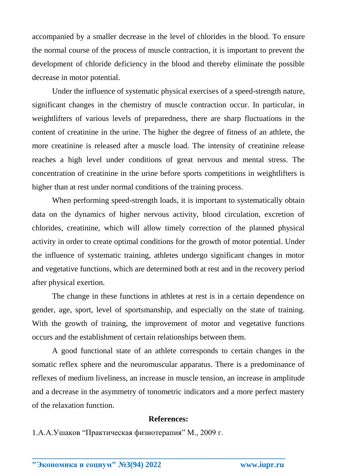accompanied by a smaller decrease in the level of chlorides in the blood. To ensure the normal course of the process of muscle contraction, it is important to prevent the development of chloride deficiency in the blood and thereby eliminate the possible decrease in motor potential.

Under the influence of systematic physical exercises of a speed-strength nature, significant changes in the chemistry of muscle contraction occur. In particular, in weightlifters of various levels of preparedness, there are sharp fluctuations in the content of creatinine in the urine. The higher the degree of fitness of an athlete, the more creatinine is released after a muscle load. The intensity of creatinine release reaches a high level under conditions of great nervous and mental stress. The concentration of creatinine in the urine before sports competitions in weightlifters is higher than at rest under normal conditions of the training process.

When performing speed-strength loads, it is important to systematically obtain data on the dynamics of higher nervous activity, blood circulation, excretion of chlorides, creatinine, which will allow timely correction of the planned physical activity in order to create optimal conditions for the growth of motor potential. Under the influence of systematic training, athletes undergo significant changes in motor and vegetative functions, which are determined both at rest and in the recovery period after physical exertion.

The change in these functions in athletes at rest is in a certain dependence on gender, age, sport, level of sportsmanship, and especially on the state of training. With the growth of training, the improvement of motor and vegetative functions occurs and the establishment of certain relationships between them.

A good functional state of an athlete corresponds to certain changes in the somatic reflex sphere and the neuromuscular apparatus. There is a predominance of reflexes of medium liveliness, an increase in muscle tension, an increase in amplitude and a decrease in the asymmetry of tonometric indicators and a more perfect mastery of the relaxation function.

## **References:**

**\_\_\_\_\_\_\_\_\_\_\_\_\_\_\_\_\_\_\_\_\_\_\_\_\_\_\_\_\_\_\_\_\_\_\_\_\_\_\_\_\_\_\_\_\_\_\_\_\_\_\_\_\_\_\_\_\_\_\_\_\_\_\_\_**

1.А.А.Ушаков "Практическая физиотерапия" М., 2009 г.